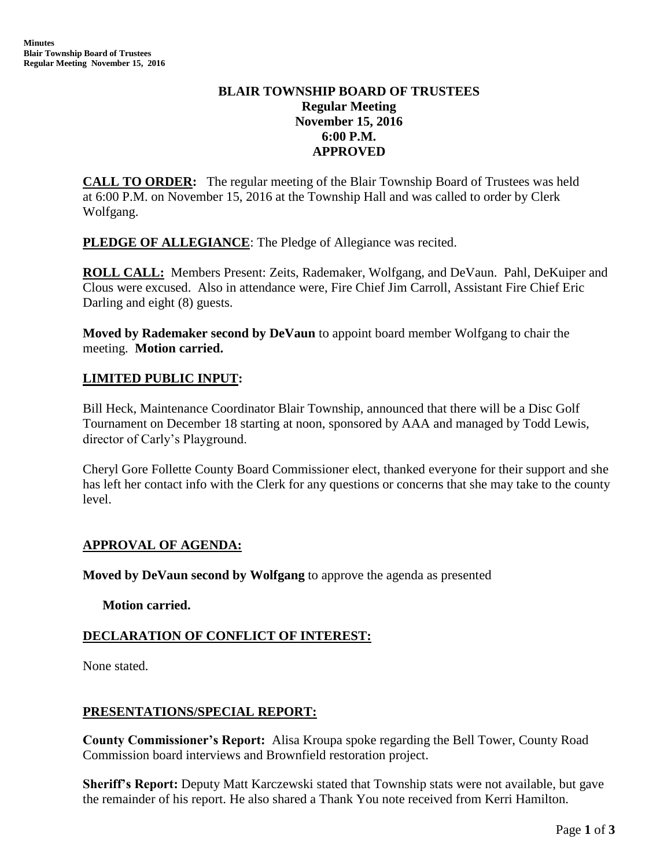# **BLAIR TOWNSHIP BOARD OF TRUSTEES Regular Meeting November 15, 2016 6:00 P.M. APPROVED**

**CALL TO ORDER:** The regular meeting of the Blair Township Board of Trustees was held at 6:00 P.M. on November 15, 2016 at the Township Hall and was called to order by Clerk Wolfgang.

**PLEDGE OF ALLEGIANCE:** The Pledge of Allegiance was recited.

**ROLL CALL:** Members Present: Zeits, Rademaker, Wolfgang, and DeVaun. Pahl, DeKuiper and Clous were excused. Also in attendance were, Fire Chief Jim Carroll, Assistant Fire Chief Eric Darling and eight (8) guests.

**Moved by Rademaker second by DeVaun** to appoint board member Wolfgang to chair the meeting. **Motion carried.**

# **LIMITED PUBLIC INPUT:**

Bill Heck, Maintenance Coordinator Blair Township, announced that there will be a Disc Golf Tournament on December 18 starting at noon, sponsored by AAA and managed by Todd Lewis, director of Carly's Playground.

Cheryl Gore Follette County Board Commissioner elect, thanked everyone for their support and she has left her contact info with the Clerk for any questions or concerns that she may take to the county level.

# **APPROVAL OF AGENDA:**

**Moved by DeVaun second by Wolfgang** to approve the agenda as presented

**Motion carried.**

# **DECLARATION OF CONFLICT OF INTEREST:**

None stated.

# **PRESENTATIONS/SPECIAL REPORT:**

**County Commissioner's Report:** Alisa Kroupa spoke regarding the Bell Tower, County Road Commission board interviews and Brownfield restoration project.

**Sheriff's Report:** Deputy Matt Karczewski stated that Township stats were not available, but gave the remainder of his report. He also shared a Thank You note received from Kerri Hamilton.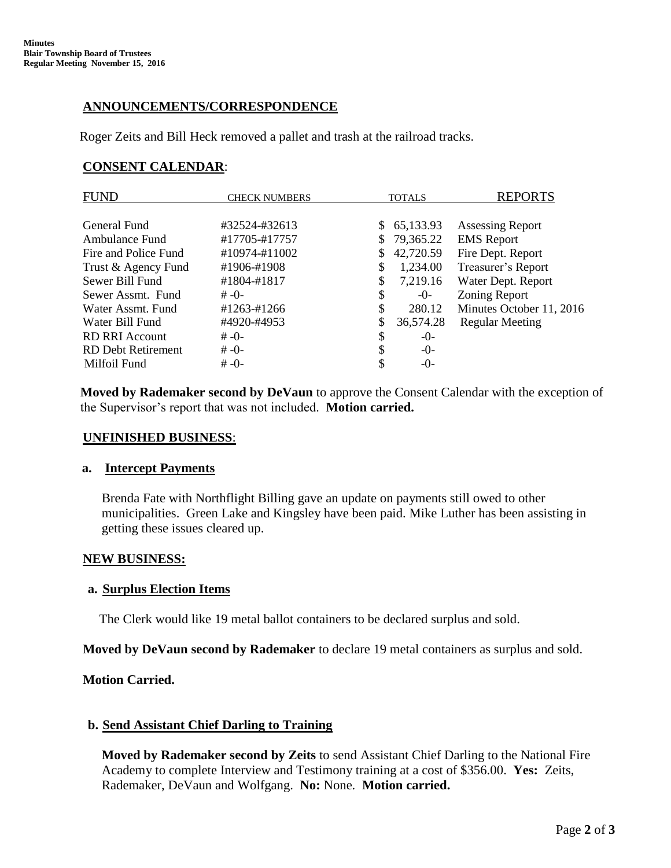# **ANNOUNCEMENTS/CORRESPONDENCE**

Roger Zeits and Bill Heck removed a pallet and trash at the railroad tracks.

# **CONSENT CALENDAR**:

| FUND<br><b>CHECK NUMBERS</b>          | <b>TOTALS</b>   | <b>REPORTS</b>           |
|---------------------------------------|-----------------|--------------------------|
| General Fund<br>#32524-#32613         | 65,133.93<br>S. | <b>Assessing Report</b>  |
| #17705-#17757<br>Ambulance Fund       | 79,365.22<br>S. | <b>EMS</b> Report        |
| #10974-#11002<br>Fire and Police Fund | 42,720.59<br>\$ | Fire Dept. Report        |
| Trust & Agency Fund<br>#1906-#1908    | \$<br>1,234.00  | Treasurer's Report       |
| Sewer Bill Fund<br>#1804-#1817        | \$<br>7,219.16  | Water Dept. Report       |
| Sewer Assmt. Fund<br>$# -0-$          | \$<br>$-0-$     | Zoning Report            |
| #1263-#1266<br>Water Assmt, Fund      | \$<br>280.12    | Minutes October 11, 2016 |
| #4920-#4953<br>Water Bill Fund        | \$<br>36,574.28 | <b>Regular Meeting</b>   |
| <b>RD RRI Account</b><br>$# -0-$      | \$<br>$-0-$     |                          |
| RD Debt Retirement<br>$# -0-$         | \$<br>$-()$     |                          |
| $# -0-$<br>Milfoil Fund               | \$<br>$-0-$     |                          |

**Moved by Rademaker second by DeVaun** to approve the Consent Calendar with the exception of the Supervisor's report that was not included. **Motion carried.**

#### **UNFINISHED BUSINESS**:

#### **a. Intercept Payments**

Brenda Fate with Northflight Billing gave an update on payments still owed to other municipalities. Green Lake and Kingsley have been paid. Mike Luther has been assisting in getting these issues cleared up.

# **NEW BUSINESS:**

# **a. Surplus Election Items**

The Clerk would like 19 metal ballot containers to be declared surplus and sold.

**Moved by DeVaun second by Rademaker** to declare 19 metal containers as surplus and sold.

# **Motion Carried.**

# **b. Send Assistant Chief Darling to Training**

**Moved by Rademaker second by Zeits** to send Assistant Chief Darling to the National Fire Academy to complete Interview and Testimony training at a cost of \$356.00. **Yes:** Zeits, Rademaker, DeVaun and Wolfgang. **No:** None. **Motion carried.**